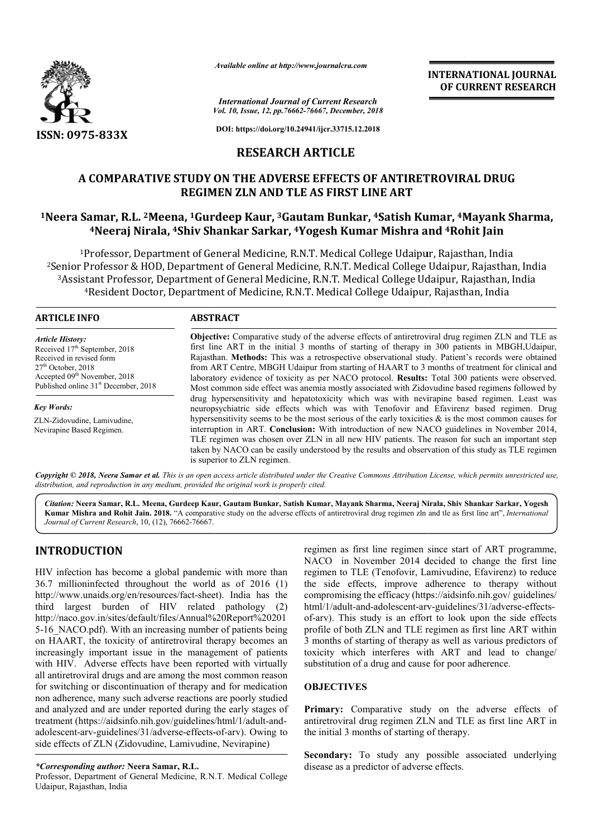

*Available online at http://www.journalcra.com*

**INTERNATIONAL JOURNAL OF CURRENT RESEARCH**

*Vol. 10, Issue, 12, pp. pp.76662-76667, December, 2018 International Journal of Current Research*

**DOI: https://doi.org/10.24941/ijcr.33715.12.2018**

# **RESEARCH ARTICLE**

## A COMPARATIVE STUDY ON THE ADVERSE EFFECTS OF ANTIRETROVIRAL DRUG **REGIMEN ZLN AND TLE AS FIRST LINE ART**

# <sup>1</sup>Neera Samar, R.L. <sup>2</sup>Meena, <sup>1</sup>Gurdeep Kaur, <sup>3</sup>Gautam Bunkar, <sup>4</sup>Satish Kumar, <sup>4</sup>Mayank Sharma, **4Neeraj Nirala, 4Shiv Shankar Sarkar, Shiv 4Yogesh Kumar Mishra and 4Rohit Jain**

1Professor, Department of General Medicine, R.N.T. Medical College Udaipur, Rajasthan, India <sup>1</sup>Professor, Department of General Medicine, R.N.T. Medical College Udaipur, Rajasthan, India<br>2Senior Professor & HOD, Department of General Medicine, R.N.T. Medical College Udaipur, Rajasthan, India<sup>2</sup> 3Assistant Professor, Department of General Medicine, R.N.T. Medical College Udaipur, Rajasthan, India 4Resident Doctor, Department of Medicine, R.N.T. Medical College Udaipur, Rajasthan, India College U<br>Dllege Uda<br>Udaipur,

#### **ARTICLE INFO ABSTRACT**

*Article History:* Received 17<sup>th</sup> September, 2018 Received in revised form  $27<sup>th</sup>$  October, 2018 Accepted 09<sup>th</sup> November, 2018 Published online 31<sup>st</sup> December, 2018

*Key Words:* ZLN-Zidovudine, Lamivudine, Nevirapine Based Regimen.

**Objective:** Comparative study of the adverse effects of antiretroviral drug regimen ZLN and TLE as first line ART in the initial 3 months of starting of therapy in 300 patients in MBGH,Udaipur, Rajasthan. **Methods:** This was a retrospective observational stud from ART Centre, MBGH Udaipur from starting of HAART to 3 months of treatment for clinical and from ART Centre, MBGH Udaipur from starting of HAART to 3 months of treatment for clinical and laboratory evidence of toxicity as per NACO protocol. **Results:** Total 300 patients were observed. Most common side effect was a anemia mostly associated with Zidovudine based regimens followed by drug hypersensitivity and hepatotoxicity which was with nevirapine based regimen. Least was Most common side effect was anemia mostly associated with Zidovudine based regimens followed by drug hypersensitivity and hepatotoxicity which was with nevirapine based regimen. Least was neuropsychiatric side effects whic hypersen hypersensitivity seems to be the most serious of the early toxicities & is the most common causes for interruption in ART. **Conclusion:** With introduction of new NACO guidelines in November 2014, TLE regimen was chosen over ZLN in all new HIV patients. The reason fo taken by NACO can be easily understood by the results and observation of this study as TLE regimen is superior to ZLN regimen. **Objective:** Comparative study of the adverse effects of antiretroviral drug regimen ZLN and TLE as first line ART in the initial 3 months of starting of therapy in 300 patients in MBGH,Udaipur, Rajasthan. Methods: This wa hypersensitivity seems to be the most serious of the early toxicities & is the most common causes for interruption in ART. **Conclusion:** With introduction of new NACO guidelines in November 2014, TLE regimen was chosen ove

Copyright © 2018, Neera Samar et al. This is an open access article distributed under the Creative Commons Attribution License, which permits unrestricted use, *distribution, and reproduction in any medium, provided the original work is properly cited.*

*Citation: N*eera Samar, R.L. Meena, Gurdeep Kaur, Gautam Bunkar, Satish Kumar, Mayank Sharma, Neeraj Nirala, Shiv Shankar Sarkar, Yogesh Kumar Mishra and Rohit Jain. 2018. "A comparative study on the adverse effects of antiretroviral drug regimen zln and tle as first line art", *International Journal of Current Research*, 10, (12), 76662-76667.

## **INTRODUCTION**

HIV infection has become a global pandemic with more than 36.7 millioninfected throughout the world as of 2016 (1) http://www.unaids.org/en/resources/fact-sheet). India has the third largest burden of HIV related pathology (2) http://naco.gov.in/sites/default/files/Annual%20Report%20201 5-16 NACO.pdf). With an increasing number of patients being on HAART, the toxicity of antiretroviral therapy becomes an increasingly important issue in the management of patients with HIV. Adverse effects have been reported with virtually all antiretroviral drugs and are among the most common reason for switching or discontinuation of therapy and for medication non adherence, many such adverse reactions are poorly studied and analyzed and are under reported during the early stages of treatment (https://aidsinfo.nih.gov/guidelines/html/1/adult adolescent-arv-guidelines/31/adverse-effects-of-arv). Owing to side effects of ZLN (Zidovudine, Lamivudine, Nevirapine) O.pdf). With an increasing number of patients being  $\Gamma$ , the toxicity of antiretroviral therapy becomes an y important issue in the management of patients Adverse effects have been reported with virtually oviral drugs and

Professor, Department of General Medicine, R.N.T. Medical College Udaipur, Rajasthan, India

regimen as first line regimen since start of ART programme, NACO in November 2014 decided to change the first line regimen to TLE (Tenofovir, Lamivudine, Efavirenz) to reduce the side effects, improve adherence to therapy without compromising the efficacy (https://aidsinfo.nih.gov/ guidelin html/1/adult-and-adolescent-arv-guidelines/31/adverse-effectsof-arv). This study is an effort to look upon the side effects profile of both ZLN and TLE regimen as first line ART within 3 months of starting of therapy as well as various predictors of toxicity which interferes with ART and lead to change/ substitution of a drug and cause for poor adherence. CO in November 2014 decided to change the first line<br>nen to TLE (Tenofovir, Lamivudine, Efavirenz) to reduce<br>side effects, improve adherence to therapy without<br>promising the efficacy (https://aidsinfo.nih.gov/ guidelines/ Steady). This study is an effort to look upon the side profile of both ZLN and TLE regimen as first line ART in months of starting of therapy as well as various predice.<br>Such that is a various predicional original of the t

## **OBJECTIVES**

Primary: Comparative study on the adverse effects of antiretroviral drug regimen ZLN and TLE as first line ART in the initial 3 months of starting of therapy

**Secondary:** To study any possible associated underlying disease as a predictor of adverse effects.

*<sup>\*</sup>Corresponding author:* **Neera Samar, R.L.**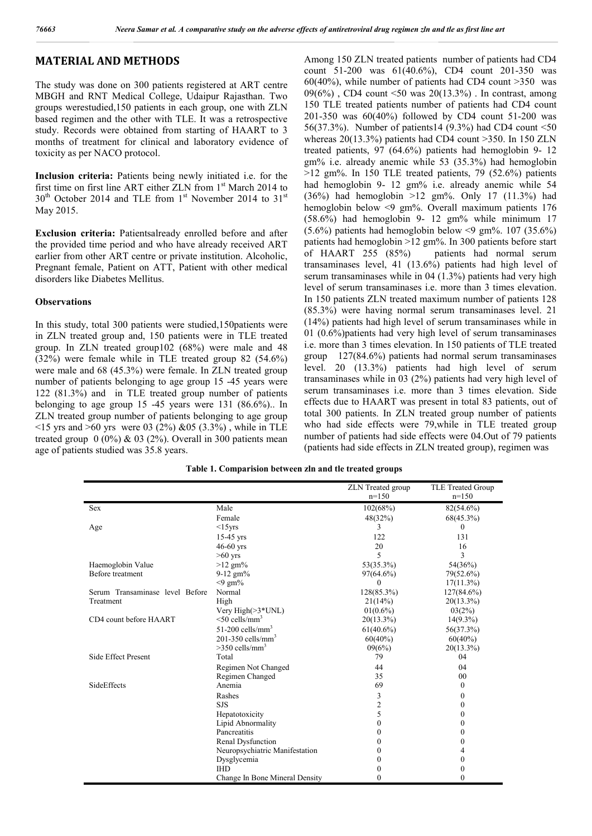## **MATERIAL AND METHODS**

The study was done on 300 patients registered at ART centre MBGH and RNT Medical College, Udaipur Rajasthan. Two groups werestudied,150 patients in each group, one with ZLN based regimen and the other with TLE. It was a retrospective study. Records were obtained from starting of HAART to 3 months of treatment for clinical and laboratory evidence of toxicity as per NACO protocol.

**Inclusion criteria:** Patients being newly initiated i.e. for the first time on first line ART either ZLN from  $1<sup>st</sup>$  March 2014 to  $30<sup>th</sup>$  October 2014 and TLE from 1<sup>st</sup> November 2014 to 31<sup>st</sup> May 2015.

**Exclusion criteria:** Patientsalready enrolled before and after the provided time period and who have already received ART earlier from other ART centre or private institution. Alcoholic, Pregnant female, Patient on ATT, Patient with other medical disorders like Diabetes Mellitus.

#### **Observations**

In this study, total 300 patients were studied,150patients were in ZLN treated group and, 150 patients were in TLE treated group. In ZLN treated group102 (68%) were male and 48 (32%) were female while in TLE treated group 82 (54.6%) were male and 68 (45.3%) were female. In ZLN treated group number of patients belonging to age group 15 -45 years were 122 (81.3%) and in TLE treated group number of patients belonging to age group 15 -45 years were 131 (86.6%).. In ZLN treated group number of patients belonging to age group  $\le$ 15 yrs and  $\ge$ 60 yrs were 03 (2%) &05 (3.3%), while in TLE treated group  $0$  (0%) & 03 (2%). Overall in 300 patients mean age of patients studied was 35.8 years.

Among 150 ZLN treated patients number of patients had CD4 count 51-200 was 61(40.6%), CD4 count 201-350 was  $60(40\%)$ , while number of patients had CD4 count  $>350$  was  $09(6%)$ , CD4 count <50 was  $20(13.3%)$ . In contrast, among 150 TLE treated patients number of patients had CD4 count 201-350 was 60(40%) followed by CD4 count 51-200 was 56(37.3%). Number of patients14 (9.3%) had CD4 count <50 whereas 20(13.3%) patients had CD4 count >350. In 150 ZLN treated patients, 97 (64.6%) patients had hemoglobin 9- 12 gm% i.e. already anemic while 53 (35.3%) had hemoglobin  $>12$  gm%. In 150 TLE treated patients, 79 (52.6%) patients had hemoglobin 9- 12 gm% i.e. already anemic while 54 (36%) had hemoglobin >12 gm%. Only 17 (11.3%) had hemoglobin below <9 gm%. Overall maximum patients 176 (58.6%) had hemoglobin 9- 12 gm% while minimum 17  $(5.6\%)$  patients had hemoglobin below <9 gm%. 107 (35.6%) patients had hemoglobin >12 gm%. In 300 patients before start of HAART 255 (85%) patients had normal serum transaminases level, 41 (13.6%) patients had high level of serum transaminases while in 04 (1.3%) patients had very high level of serum transaminases i.e. more than 3 times elevation. In 150 patients ZLN treated maximum number of patients 128 (85.3%) were having normal serum transaminases level. 21 (14%) patients had high level of serum transaminases while in 01 (0.6%)patients had very high level of serum transaminases i.e. more than 3 times elevation. In 150 patients of TLE treated group 127(84.6%) patients had normal serum transaminases level. 20 (13.3%) patients had high level of serum transaminases while in 03 (2%) patients had very high level of serum transaminases i.e. more than 3 times elevation. Side effects due to HAART was present in total 83 patients, out of total 300 patients. In ZLN treated group number of patients who had side effects were 79,while in TLE treated group number of patients had side effects were 04.Out of 79 patients (patients had side effects in ZLN treated group), regimen was

**Table 1. Comparision between zln and tle treated groups**

|                                 |                                 | <b>ZLN</b> Treated group | TLE Treated Group |
|---------------------------------|---------------------------------|--------------------------|-------------------|
|                                 |                                 | $n=150$                  | $n=150$           |
| <b>Sex</b>                      | Male                            | 102(68%)                 | $82(54.6\%)$      |
|                                 | Female                          | 48(32%)                  | $68(45.3\%)$      |
| Age                             | $<15$ yrs                       | 3                        | $\theta$          |
|                                 | $15-45$ yrs                     | 122                      | 131               |
|                                 | $46-60$ yrs                     | 20                       | 16                |
|                                 | $>60$ yrs                       | 5                        | 3                 |
| Haemoglobin Value               | $>12$ gm%                       | 53(35.3%)                | 54(36%)           |
| Before treatment                | $9-12$ gm%                      | $97(64.6\%)$             | 79(52.6%)         |
|                                 | $<$ 9 gm%                       | 0                        | $17(11.3\%)$      |
| Serum Transaminase level Before | Normal                          | 128(85.3%)               | 127(84.6%)        |
| Treatment                       | High                            | 21(14%)                  | $20(13.3\%)$      |
|                                 | Very $High(>3*UNL)$             | $01(0.6\%)$              | 03(2%)            |
| CD4 count before HAART          | $<$ 50 cells/mm <sup>3</sup>    | $20(13.3\%)$             | $14(9.3\%)$       |
|                                 | $51-200$ cells/mm <sup>3</sup>  | $61(40.6\%)$             | 56(37.3%)         |
|                                 | $201-350$ cells/mm <sup>3</sup> | $60(40\%)$               | $60(40\%)$        |
|                                 | $>350$ cells/mm <sup>3</sup>    | 09(6%)                   | $20(13.3\%)$      |
| <b>Side Effect Present</b>      | Total                           | 79                       | 04                |
|                                 | Regimen Not Changed             | 44                       | 04                |
|                                 | Regimen Changed                 | 35                       | 00                |
| SideEffects                     | Anemia                          | 69                       | $\overline{0}$    |
|                                 | Rashes                          | 3                        | $\theta$          |
|                                 | <b>SJS</b>                      | $\overline{c}$           | $\mathbf{0}$      |
|                                 | Hepatotoxicity                  | 5                        | $\mathbf{0}$      |
|                                 | Lipid Abnormality               | 0                        | $\mathbf{0}$      |
|                                 | Pancreatitis                    | 0                        | $\mathbf{0}$      |
|                                 | Renal Dysfunction               | 0                        | $\mathbf{0}$      |
|                                 | Neuropsychiatric Manifestation  | 0                        | 4                 |
|                                 | Dysglycemia                     | 0                        | $\mathbf{0}$      |
|                                 | <b>IHD</b>                      | 0                        | $\boldsymbol{0}$  |
|                                 | Change In Bone Mineral Density  | 0                        | $\mathbf{0}$      |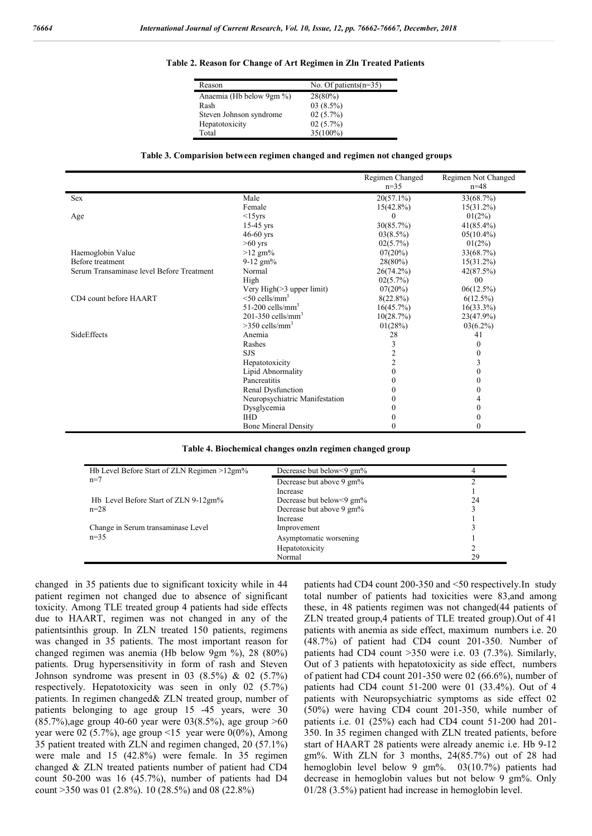#### **Table 2. Reason for Change of Art Regimen in Zln Treated Patients**

| Reason                   | No. Of patients $(n=35)$ |
|--------------------------|--------------------------|
| Anaemia (Hb below 9gm %) | 28(80%)                  |
| Rash                     | $03(8.5\%)$              |
| Steven Johnson syndrome  | 02(5.7%)                 |
| Hepatotoxicity           | $02(5.7\%)$              |
| Total                    | 35(100%)                 |

#### **Table 3. Comparision between regimen changed and regimen not changed groups**

|                                           |                                 | Regimen Changed | Regimen Not Changed |
|-------------------------------------------|---------------------------------|-----------------|---------------------|
|                                           |                                 | $n=35$          | $n=48$              |
| Sex                                       | Male                            | $20(57.1\%)$    | 33(68.7%)           |
|                                           | Female                          | $15(42.8\%)$    | $15(31.2\%)$        |
| Age                                       | $<15$ yrs                       |                 | $01(2\%)$           |
|                                           | $15-45$ yrs                     | 30(85.7%)       | $41(85.4\%)$        |
|                                           | $46-60$ yrs                     | 03(8.5%)        | $05(10.4\%)$        |
|                                           | $>60$ yrs                       | 02(5.7%)        | $01(2\%)$           |
| Haemoglobin Value                         | $>12$ gm%                       | 07(20%)         | 33(68.7%)           |
| Before treatment                          | $9-12$ gm%                      | 28(80%)         | $15(31.2\%)$        |
| Serum Transaminase level Before Treatment | Normal                          | 26(74.2%)       | 42(87.5%)           |
|                                           | High                            | 02(5.7%)        | 0 <sub>0</sub>      |
|                                           | Very High $(>3$ upper limit)    | 07(20%)         | 06(12.5%)           |
| CD4 count before HAART                    | $<$ 50 cells/mm <sup>3</sup>    | $8(22.8\%)$     | $6(12.5\%)$         |
|                                           | $51-200$ cells/mm <sup>3</sup>  | 16(45.7%)       | $16(33.3\%)$        |
|                                           | $201-350$ cells/mm <sup>3</sup> | 10(28.7%)       | 23(47.9%)           |
|                                           | $>350$ cells/mm <sup>3</sup>    | 01(28%)         | $03(6.2\%)$         |
| <b>SideEffects</b>                        | Anemia                          | 28              | 41                  |
|                                           | Rashes                          | 3               | $\theta$            |
|                                           | <b>SJS</b>                      | $\overline{2}$  | 0                   |
|                                           | Hepatotoxicity                  | 2               | 3                   |
|                                           | Lipid Abnormality               | $\theta$        | $\mathbf{0}$        |
|                                           | Pancreatitis                    |                 | 0                   |
|                                           | Renal Dysfunction               |                 | $\Omega$            |
|                                           | Neuropsychiatric Manifestation  |                 |                     |
|                                           | Dysglycemia                     | $_{0}$          | $\Omega$            |
|                                           | <b>IHD</b>                      |                 | 0                   |
|                                           | <b>Bone Mineral Density</b>     |                 |                     |

#### **Table 4. Biochemical changes onzln regimen changed group**

| Hb Level Before Start of ZLN Regimen >12gm% | Decrease but below $9 \text{ gm\%}$ |    |
|---------------------------------------------|-------------------------------------|----|
| $n=7$                                       | Decrease but above 9 gm%            |    |
|                                             | Increase                            |    |
| Hb Level Before Start of ZLN 9-12gm%        | Decrease but below<9 gm%            | 24 |
| $n = 28$                                    | Decrease but above 9 gm%            |    |
|                                             | Increase                            |    |
| Change in Serum transaminase Level          | Improvement                         |    |
| $n=35$                                      | Asymptomatic worsening              |    |
|                                             | Hepatotoxicity                      |    |
|                                             | Normal                              | 29 |

changed in 35 patients due to significant toxicity while in 44 patient regimen not changed due to absence of significant toxicity. Among TLE treated group 4 patients had side effects due to HAART, regimen was not changed in any of the patientsinthis group. In ZLN treated 150 patients, regimens was changed in 35 patients. The most important reason for changed regimen was anemia (Hb below 9gm %), 28 (80%) patients. Drug hypersensitivity in form of rash and Steven Johnson syndrome was present in 03  $(8.5\%)$  & 02  $(5.7\%)$ respectively. Hepatotoxicity was seen in only 02 (5.7%) patients. In regimen changed& ZLN treated group, number of patients belonging to age group 15 -45 years, were 30 (85.7%),age group 40-60 year were 03(8.5%), age group >60 year were 02 (5.7%), age group <15 year were 0(0%), Among 35 patient treated with ZLN and regimen changed, 20 (57.1%) were male and 15 (42.8%) were female. In 35 regimen changed & ZLN treated patients number of patient had CD4 count 50-200 was 16 (45.7%), number of patients had D4 count >350 was 01 (2.8%). 10 (28.5%) and 08 (22.8%)

patients had CD4 count 200-350 and <50 respectively.In study total number of patients had toxicities were 83,and among these, in 48 patients regimen was not changed(44 patients of ZLN treated group,4 patients of TLE treated group).Out of 41 patients with anemia as side effect, maximum numbers i.e. 20 (48.7%) of patient had CD4 count 201-350. Number of patients had CD4 count >350 were i.e. 03 (7.3%). Similarly, Out of 3 patients with hepatotoxicity as side effect, numbers of patient had CD4 count 201-350 were 02 (66.6%), number of patients had CD4 count 51-200 were 01 (33.4%). Out of 4 patients with Neuropsychiatric symptoms as side effect 02 (50%) were having CD4 count 201-350, while number of patients i.e. 01 (25%) each had CD4 count 51-200 had 201- 350. In 35 regimen changed with ZLN treated patients, before start of HAART 28 patients were already anemic i.e. Hb 9-12 gm%. With ZLN for 3 months, 24(85.7%) out of 28 had hemoglobin level below 9 gm%. 03(10.7%) patients had decrease in hemoglobin values but not below 9 gm%. Only 01/28 (3.5%) patient had increase in hemoglobin level.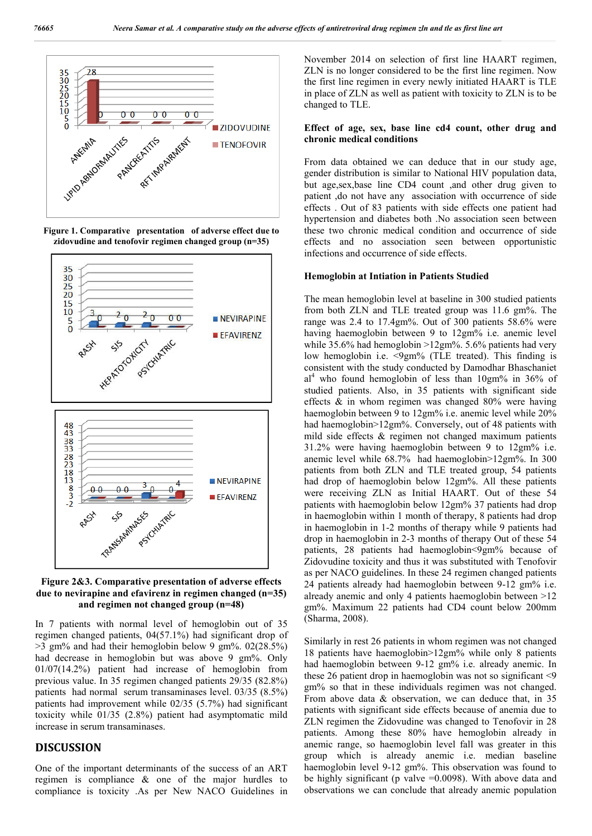

**Figure 1. Comparative presentation of adverse effect due to zidovudine and tenofovir regimen changed group (n=35)**



**Figure 2&3. Comparative presentation of adverse effects due to nevirapine and efavirenz in regimen changed (n=35) and regimen not changed group (n=48)**

In 7 patients with normal level of hemoglobin out of 35 regimen changed patients, 04(57.1%) had significant drop of  $>3$  gm% and had their hemoglobin below 9 gm%. 02(28.5%) had decrease in hemoglobin but was above 9 gm%. Only 01/07(14.2%) patient had increase of hemoglobin from previous value. In 35 regimen changed patients 29/35 (82.8%) patients had normal serum transaminases level. 03/35 (8.5%) patients had improvement while 02/35 (5.7%) had significant toxicity while 01/35 (2.8%) patient had asymptomatic mild increase in serum transaminases.

## **DISCUSSION**

One of the important determinants of the success of an ART regimen is compliance & one of the major hurdles to compliance is toxicity .As per New NACO Guidelines in November 2014 on selection of first line HAART regimen, ZLN is no longer considered to be the first line regimen. Now the first line regimen in every newly initiated HAART is TLE in place of ZLN as well as patient with toxicity to ZLN is to be changed to TLE.

#### **Effect of age, sex, base line cd4 count, other drug and chronic medical conditions**

From data obtained we can deduce that in our study age, gender distribution is similar to National HIV population data, but age,sex,base line CD4 count ,and other drug given to patient ,do not have any association with occurrence of side effects . Out of 83 patients with side effects one patient had hypertension and diabetes both .No association seen between these two chronic medical condition and occurrence of side effects and no association seen between opportunistic infections and occurrence of side effects.

#### **Hemoglobin at Intiation in Patients Studied**

The mean hemoglobin level at baseline in 300 studied patients from both ZLN and TLE treated group was 11.6 gm%. The range was 2.4 to 17.4gm%. Out of 300 patients 58.6% were having haemoglobin between 9 to 12gm% i.e. anemic level while 35.6% had hemoglobin >12gm%. 5.6% patients had very low hemoglobin i.e. <9gm% (TLE treated). This finding is consistent with the study conducted by Damodhar Bhaschaniet  $al<sup>4</sup>$  who found hemoglobin of less than 10gm% in 36% of studied patients. Also, in 35 patients with significant side effects & in whom regimen was changed 80% were having haemoglobin between 9 to 12gm% i.e. anemic level while 20% had haemoglobin>12gm%. Conversely, out of 48 patients with mild side effects & regimen not changed maximum patients 31.2% were having haemoglobin between 9 to 12gm% i.e. anemic level while 68.7% had haemoglobin>12gm%. In 300 patients from both ZLN and TLE treated group, 54 patients had drop of haemoglobin below 12gm%. All these patients were receiving ZLN as Initial HAART. Out of these 54 patients with haemoglobin below 12gm% 37 patients had drop in haemoglobin within 1 month of therapy, 8 patients had drop in haemoglobin in 1-2 months of therapy while 9 patients had drop in haemoglobin in 2-3 months of therapy Out of these 54 patients, 28 patients had haemoglobin<9gm% because of Zidovudine toxicity and thus it was substituted with Tenofovir as per NACO guidelines. In these 24 regimen changed patients 24 patients already had haemoglobin between 9-12 gm% i.e. already anemic and only 4 patients haemoglobin between >12 gm%. Maximum 22 patients had CD4 count below 200mm (Sharma, 2008).

Similarly in rest 26 patients in whom regimen was not changed 18 patients have haemoglobin>12gm% while only 8 patients had haemoglobin between 9-12 gm% i.e. already anemic. In these 26 patient drop in haemoglobin was not so significant <9 gm% so that in these individuals regimen was not changed. From above data & observation, we can deduce that, in 35 patients with significant side effects because of anemia due to ZLN regimen the Zidovudine was changed to Tenofovir in 28 patients. Among these 80% have hemoglobin already in anemic range, so haemoglobin level fall was greater in this group which is already anemic i.e. median baseline haemoglobin level 9-12 gm%. This observation was found to be highly significant (p valve =0.0098). With above data and observations we can conclude that already anemic population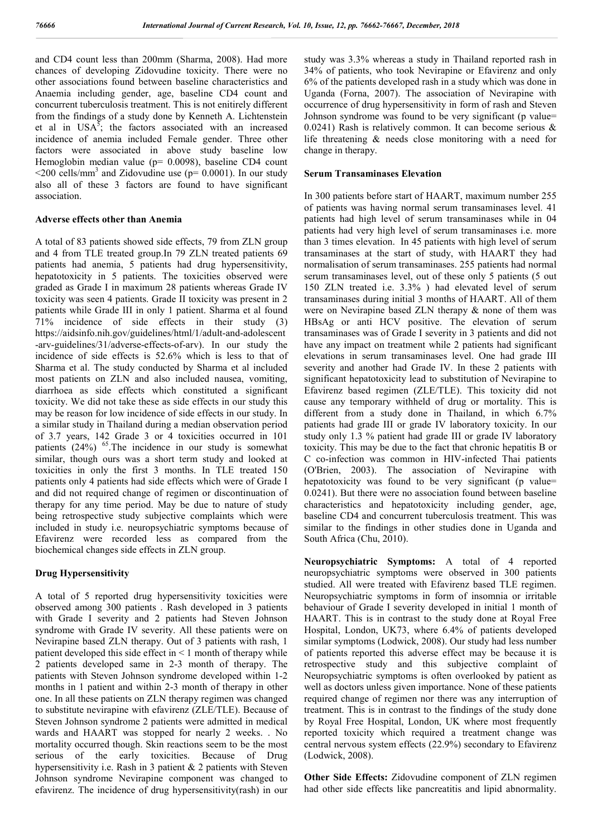and CD4 count less than 200mm (Sharma, 2008). Had more chances of developing Zidovudine toxicity. There were no other associations found between baseline characteristics and Anaemia including gender, age, baseline CD4 count and concurrent tuberculosis treatment. This is not enitirely different from the findings of a study done by Kenneth A. Lichtenstein et al in  $USA^5$ ; the factors associated with an increased incidence of anemia included Female gender. Three other factors were associated in above study baseline low Hemoglobin median value (p= 0.0098), baseline CD4 count  $\leq$ 200 cells/mm<sup>3</sup> and Zidovudine use (p= 0.0001). In our study also all of these 3 factors are found to have significant association.

#### **Adverse effects other than Anemia**

A total of 83 patients showed side effects, 79 from ZLN group and 4 from TLE treated group.In 79 ZLN treated patients 69 patients had anemia, 5 patients had drug hypersensitivity, hepatotoxicity in 5 patients. The toxicities observed were graded as Grade I in maximum 28 patients whereas Grade IV toxicity was seen 4 patients. Grade II toxicity was present in 2 patients while Grade III in only 1 patient. Sharma et al found 71% incidence of side effects in their study (3) https://aidsinfo.nih.gov/guidelines/html/1/adult-and-adolescent -arv-guidelines/31/adverse-effects-of-arv). In our study the incidence of side effects is 52.6% which is less to that of Sharma et al. The study conducted by Sharma et al included most patients on ZLN and also included nausea, vomiting, diarrhoea as side effects which constituted a significant toxicity. We did not take these as side effects in our study this may be reason for low incidence of side effects in our study. In a similar study in Thailand during a median observation period of 3.7 years, 142 Grade 3 or 4 toxicities occurred in 101 patients  $(24\%)$  <sup>65</sup>. The incidence in our study is somewhat similar, though ours was a short term study and looked at toxicities in only the first 3 months. In TLE treated 150 patients only 4 patients had side effects which were of Grade I and did not required change of regimen or discontinuation of therapy for any time period. May be due to nature of study being retrospective study subjective complaints which were included in study i.e. neuropsychiatric symptoms because of Efavirenz were recorded less as compared from the biochemical changes side effects in ZLN group.

#### **Drug Hypersensitivity**

A total of 5 reported drug hypersensitivity toxicities were observed among 300 patients . Rash developed in 3 patients with Grade I severity and 2 patients had Steven Johnson syndrome with Grade IV severity. All these patients were on Nevirapine based ZLN therapy. Out of 3 patients with rash, 1 patient developed this side effect in < 1 month of therapy while 2 patients developed same in 2-3 month of therapy. The patients with Steven Johnson syndrome developed within 1-2 months in 1 patient and within 2-3 month of therapy in other one. In all these patients on ZLN therapy regimen was changed to substitute nevirapine with efavirenz (ZLE/TLE). Because of Steven Johnson syndrome 2 patients were admitted in medical wards and HAART was stopped for nearly 2 weeks. . No mortality occurred though. Skin reactions seem to be the most serious of the early toxicities. Because of Drug hypersensitivity i.e. Rash in 3 patient & 2 patients with Steven Johnson syndrome Nevirapine component was changed to efavirenz. The incidence of drug hypersensitivity(rash) in our

study was 3.3% whereas a study in Thailand reported rash in 34% of patients, who took Nevirapine or Efavirenz and only 6% of the patients developed rash in a study which was done in Uganda (Forna, 2007). The association of Nevirapine with occurrence of drug hypersensitivity in form of rash and Steven Johnson syndrome was found to be very significant (p value= 0.0241) Rash is relatively common. It can become serious & life threatening & needs close monitoring with a need for change in therapy.

#### **Serum Transaminases Elevation**

In 300 patients before start of HAART, maximum number 255 of patients was having normal serum transaminases level. 41 patients had high level of serum transaminases while in 04 patients had very high level of serum transaminases i.e. more than 3 times elevation. In 45 patients with high level of serum transaminases at the start of study, with HAART they had normalisation of serum transaminases. 255 patients had normal serum transaminases level, out of these only 5 patients (5 out 150 ZLN treated i.e. 3.3% ) had elevated level of serum transaminases during initial 3 months of HAART. All of them were on Nevirapine based ZLN therapy & none of them was HBsAg or anti HCV positive. The elevation of serum transaminases was of Grade I severity in 3 patients and did not have any impact on treatment while 2 patients had significant elevations in serum transaminases level. One had grade III severity and another had Grade IV. In these 2 patients with significant hepatotoxicity lead to substitution of Nevirapine to Efavirenz based regimen (ZLE/TLE). This toxicity did not cause any temporary withheld of drug or mortality. This is different from a study done in Thailand, in which 6.7% patients had grade III or grade IV laboratory toxicity. In our study only 1.3 % patient had grade III or grade IV laboratory toxicity. This may be due to the fact that chronic hepatitis B or C co-infection was common in HIV-infected Thai patients (O'Brien, 2003). The association of Nevirapine with hepatotoxicity was found to be very significant (p value= 0.0241). But there were no association found between baseline characteristics and hepatotoxicity including gender, age, baseline CD4 and concurrent tuberculosis treatment. This was similar to the findings in other studies done in Uganda and South Africa (Chu, 2010).

**Neuropsychiatric Symptoms:** A total of 4 reported neuropsychiatric symptoms were observed in 300 patients studied. All were treated with Efavirenz based TLE regimen. Neuropsychiatric symptoms in form of insomnia or irritable behaviour of Grade I severity developed in initial 1 month of HAART. This is in contrast to the study done at Royal Free Hospital, London, UK73, where 6.4% of patients developed similar symptoms (Lodwick, 2008). Our study had less number of patients reported this adverse effect may be because it is retrospective study and this subjective complaint of Neuropsychiatric symptoms is often overlooked by patient as well as doctors unless given importance. None of these patients required change of regimen nor there was any interruption of treatment. This is in contrast to the findings of the study done by Royal Free Hospital, London, UK where most frequently reported toxicity which required a treatment change was central nervous system effects (22.9%) secondary to Efavirenz (Lodwick, 2008).

**Other Side Effects:** Zidovudine component of ZLN regimen had other side effects like pancreatitis and lipid abnormality.